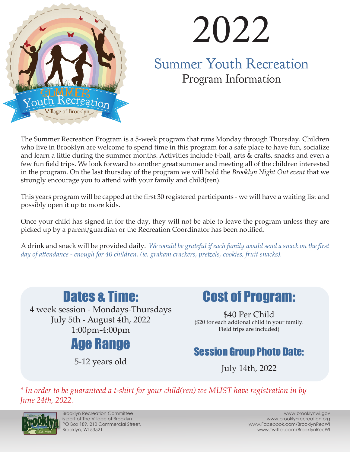

# 2022

Summer Youth Recreation Program Information

The Summer Recreation Program is a 5-week program that runs Monday through Thursday. Children who live in Brooklyn are welcome to spend time in this program for a safe place to have fun, socialize and learn a little during the summer months. Activities include t-ball, arts & crafts, snacks and even a few fun field trips. We look forward to another great summer and meeting all of the children interested in the program. On the last thursday of the program we will hold the *Brooklyn Night Out event* that we strongly encourage you to attend with your family and child(ren).

This years program will be capped at the first 30 registered participants - we will have a waiting list and possibly open it up to more kids.

Once your child has signed in for the day, they will not be able to leave the program unless they are picked up by a parent/guardian or the Recreation Coordinator has been notified.

A drink and snack will be provided daily. *We would be grateful if each family would send a snack on the first day of attendance - enough for 40 children. (ie. graham crackers, pretzels, cookies, fruit snacks).* 



4 week session - Mondays-Thursdays July 5th - August 4th, 2022 1:00pm-4:00pm



5-12 years old



\$40 Per Child (\$20 for each addional child in your family. Field trips are included)

### Session Group Photo Date:

July 14th, 2022

*\* In order to be guaranteed a t-shirt for your child(ren) we MUST have registration in by June 24th, 2022.* 



Brooklyn Recreation Committee is part of The Village of Brooklyn PO Box 189, 210 Commercial Street, Brooklyn, WI 53521

www.brooklynwi.gov www.brooklynrecreation.org www.Facebook.com/BrooklynRecWI www.Twitter.com/BrooklynRecWI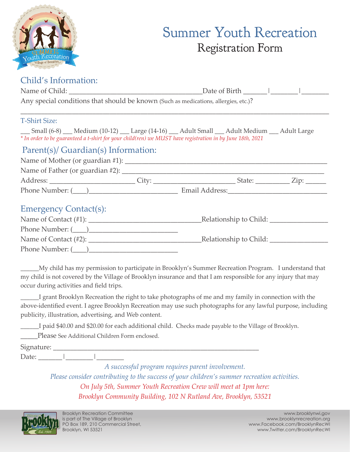

## Summer Youth Recreation Registration Form

#### Child's Information:

|                                                                                                                                                                                                                    | Date of Birth $\frac{1}{\sqrt{2}}$ |  |  |  |  |  |  |
|--------------------------------------------------------------------------------------------------------------------------------------------------------------------------------------------------------------------|------------------------------------|--|--|--|--|--|--|
| Any special conditions that should be known (Such as medications, allergies, etc.)?                                                                                                                                |                                    |  |  |  |  |  |  |
| <b>T-Shirt Size:</b>                                                                                                                                                                                               |                                    |  |  |  |  |  |  |
| ___ Small (6-8) ___ Medium (10-12) ___ Large (14-16) ___ Adult Small ___ Adult Medium ___ Adult Large<br>* In order to be guaranteed a t-shirt for your child(ren) we MUST have registration in by June 18th, 2021 |                                    |  |  |  |  |  |  |
| Parent(s)/ Guardian(s) Information:                                                                                                                                                                                |                                    |  |  |  |  |  |  |
|                                                                                                                                                                                                                    |                                    |  |  |  |  |  |  |
|                                                                                                                                                                                                                    |                                    |  |  |  |  |  |  |
|                                                                                                                                                                                                                    |                                    |  |  |  |  |  |  |
|                                                                                                                                                                                                                    |                                    |  |  |  |  |  |  |
| <b>Emergency Contact(s):</b>                                                                                                                                                                                       |                                    |  |  |  |  |  |  |
|                                                                                                                                                                                                                    |                                    |  |  |  |  |  |  |
|                                                                                                                                                                                                                    |                                    |  |  |  |  |  |  |
|                                                                                                                                                                                                                    |                                    |  |  |  |  |  |  |
|                                                                                                                                                                                                                    |                                    |  |  |  |  |  |  |

My child has my permission to participate in Brooklyn's Summer Recreation Program. I understand that my child is not covered by the Village of Brooklyn insurance and that I am responsible for any injury that may occur during activities and field trips.

\_\_\_\_\_\_I grant Brooklyn Recreation the right to take photographs of me and my family in connection with the above-identified event. I agree Brooklyn Recreation may use such photographs for any lawful purpose, including publicity, illustration, advertising, and Web content.

I paid \$40.00 and \$20.00 for each additional child. Checks made payable to the Village of Brooklyn.

Please See Additional Children Form enclosed.

Signature:

Date:

*A successful program requires parent involvement.*

*Please consider contributing to the success of your children's summer recreation activities. On July 5th, Summer Youth Recreation Crew will meet at 1pm here: Brooklyn Community Building, 102 N Rutland Ave, Brooklyn, 53521*